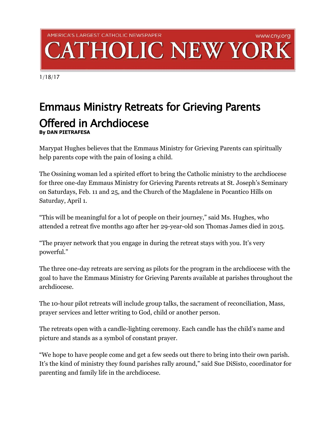## AMERICA'S LARGEST CATHOLIC NEWSPAPER www.cny.org **HOLIC NEW YOR**

1/18/17

## Emmaus Ministry Retreats for Grieving Parents Offered in Archdiocese **By DAN PIETRAFESA**

Marypat Hughes believes that the Emmaus Ministry for Grieving Parents can spiritually help parents cope with the pain of losing a child.

The Ossining woman led a spirited effort to bring the Catholic ministry to the archdiocese for three one-day Emmaus Ministry for Grieving Parents retreats at St. Joseph's Seminary on Saturdays, Feb. 11 and 25, and the Church of the Magdalene in Pocantico Hills on Saturday, April 1.

"This will be meaningful for a lot of people on their journey," said Ms. Hughes, who attended a retreat five months ago after her 29-year-old son Thomas James died in 2015.

"The prayer network that you engage in during the retreat stays with you. It's very powerful."

The three one-day retreats are serving as pilots for the program in the archdiocese with the goal to have the Emmaus Ministry for Grieving Parents available at parishes throughout the archdiocese.

The 10-hour pilot retreats will include group talks, the sacrament of reconciliation, Mass, prayer services and letter writing to God, child or another person.

The retreats open with a candle-lighting ceremony. Each candle has the child's name and picture and stands as a symbol of constant prayer.

"We hope to have people come and get a few seeds out there to bring into their own parish. It's the kind of ministry they found parishes rally around," said Sue DiSisto, coordinator for parenting and family life in the archdiocese.